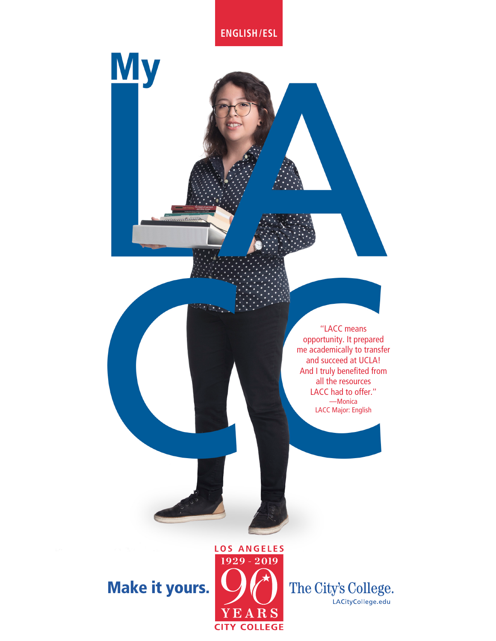**ENGLISH/ESL**

**My** 

ataana

"LACC means opportunity. It prepared me academically to transfer and succeed at UCLA! And I truly benefited from all the resources LACC had to offer." —Monica LACC Major: English

Make it yours.



The City's College. LACityCollege.edu